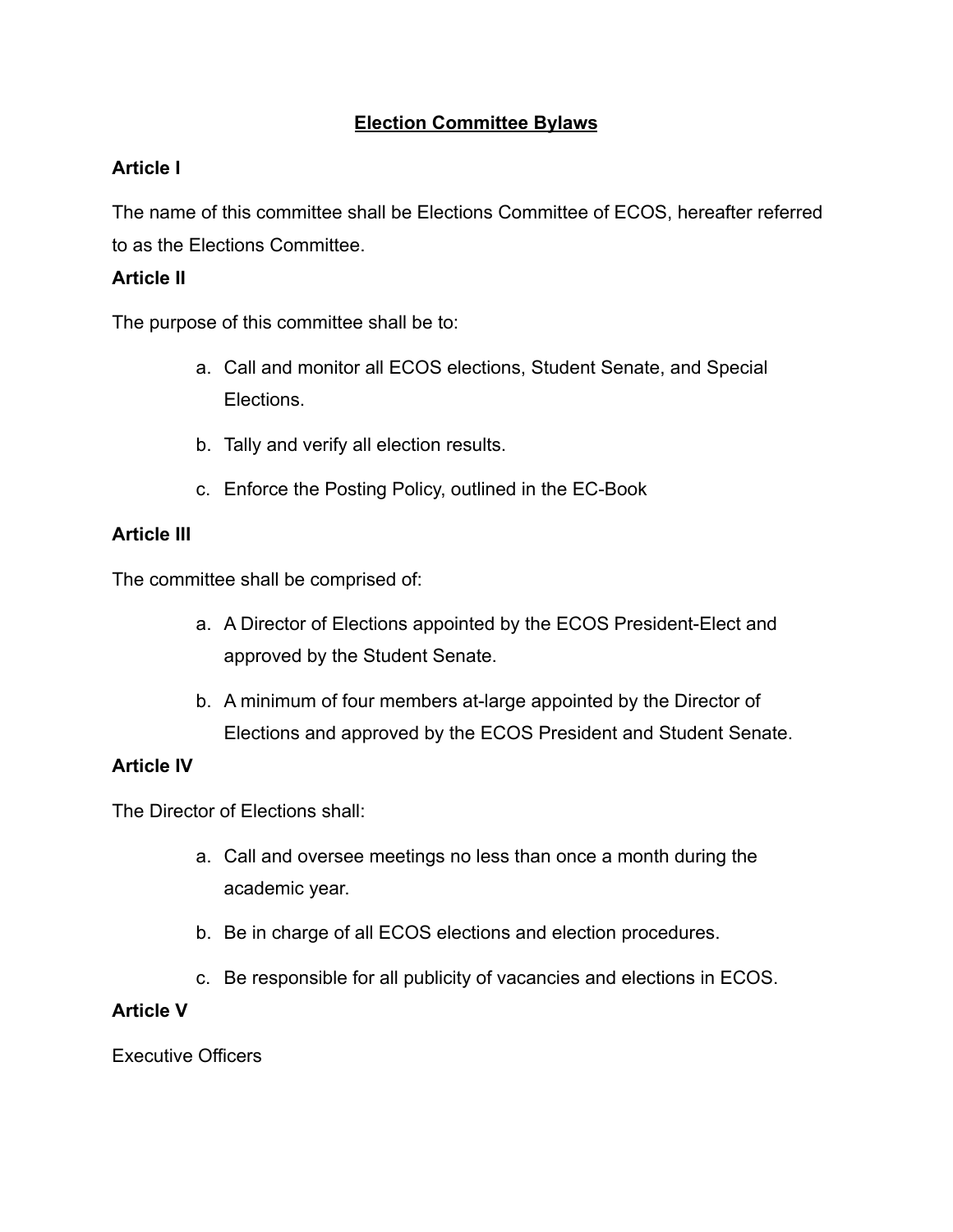# **Election Committee Bylaws**

# **Article I**

The name of this committee shall be Elections Committee of ECOS, hereafter referred to as the Elections Committee.

### **Article II**

The purpose of this committee shall be to:

- a. Call and monitor all ECOS elections, Student Senate, and Special Elections.
- b. Tally and verify all election results.
- c. Enforce the Posting Policy, outlined in the EC-Book

#### **Article III**

The committee shall be comprised of:

- a. A Director of Elections appointed by the ECOS President-Elect and approved by the Student Senate.
- b. A minimum of four members at-large appointed by the Director of Elections and approved by the ECOS President and Student Senate.

#### **Article IV**

The Director of Elections shall:

- a. Call and oversee meetings no less than once a month during the academic year.
- b. Be in charge of all ECOS elections and election procedures.
- c. Be responsible for all publicity of vacancies and elections in ECOS.

#### **Article V**

Executive Officers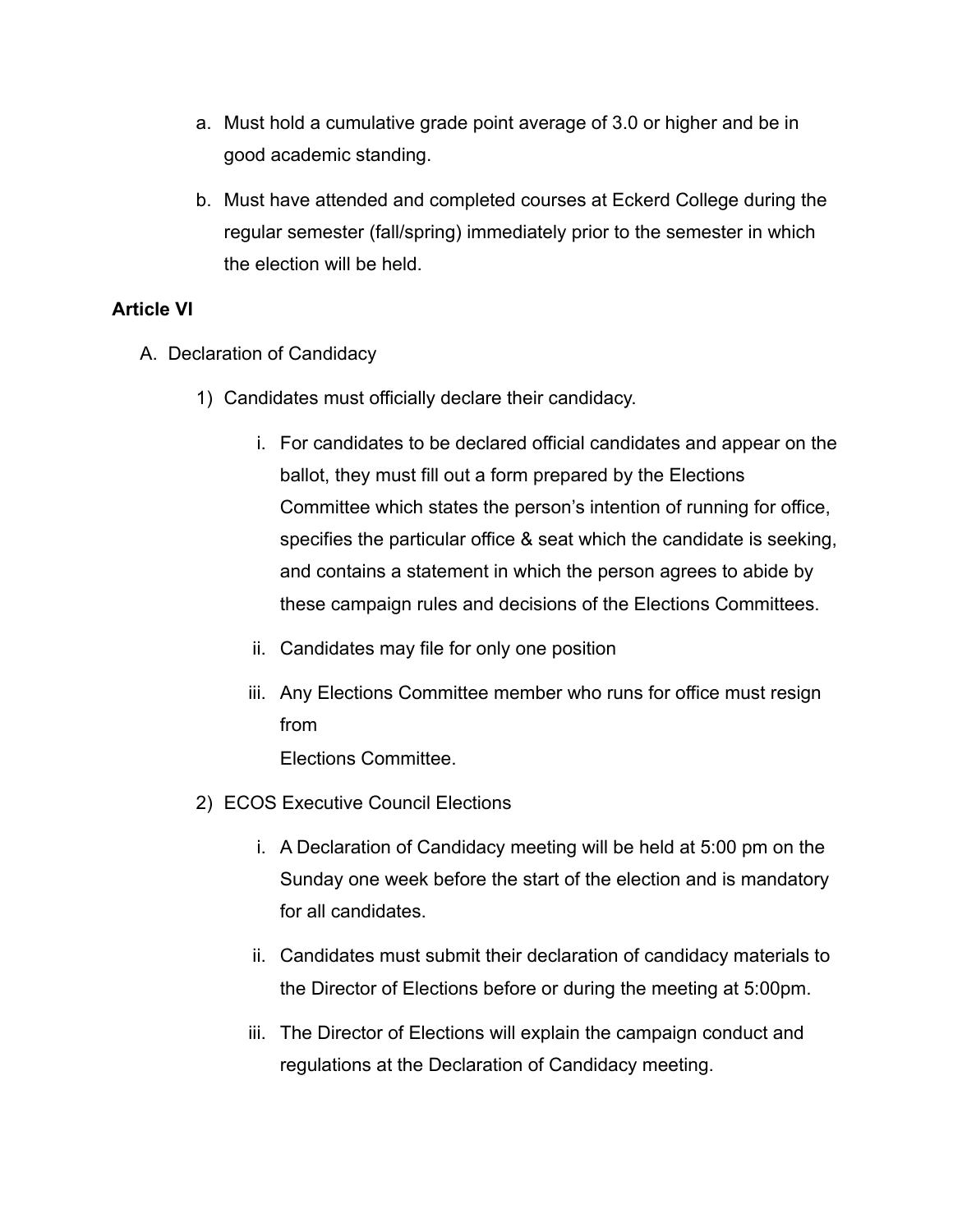- a. Must hold a cumulative grade point average of 3.0 or higher and be in good academic standing.
- b. Must have attended and completed courses at Eckerd College during the regular semester (fall/spring) immediately prior to the semester in which the election will be held.

#### **Article VI**

- A. Declaration of Candidacy
	- 1) Candidates must officially declare their candidacy.
		- i. For candidates to be declared official candidates and appear on the ballot, they must fill out a form prepared by the Elections Committee which states the person's intention of running for office, specifies the particular office & seat which the candidate is seeking, and contains a statement in which the person agrees to abide by these campaign rules and decisions of the Elections Committees.
		- ii. Candidates may file for only one position
		- iii. Any Elections Committee member who runs for office must resign from Elections Committee.
	- 2) ECOS Executive Council Elections
		- i. A Declaration of Candidacy meeting will be held at 5:00 pm on the Sunday one week before the start of the election and is mandatory for all candidates.
		- ii. Candidates must submit their declaration of candidacy materials to the Director of Elections before or during the meeting at 5:00pm.
		- iii. The Director of Elections will explain the campaign conduct and regulations at the Declaration of Candidacy meeting.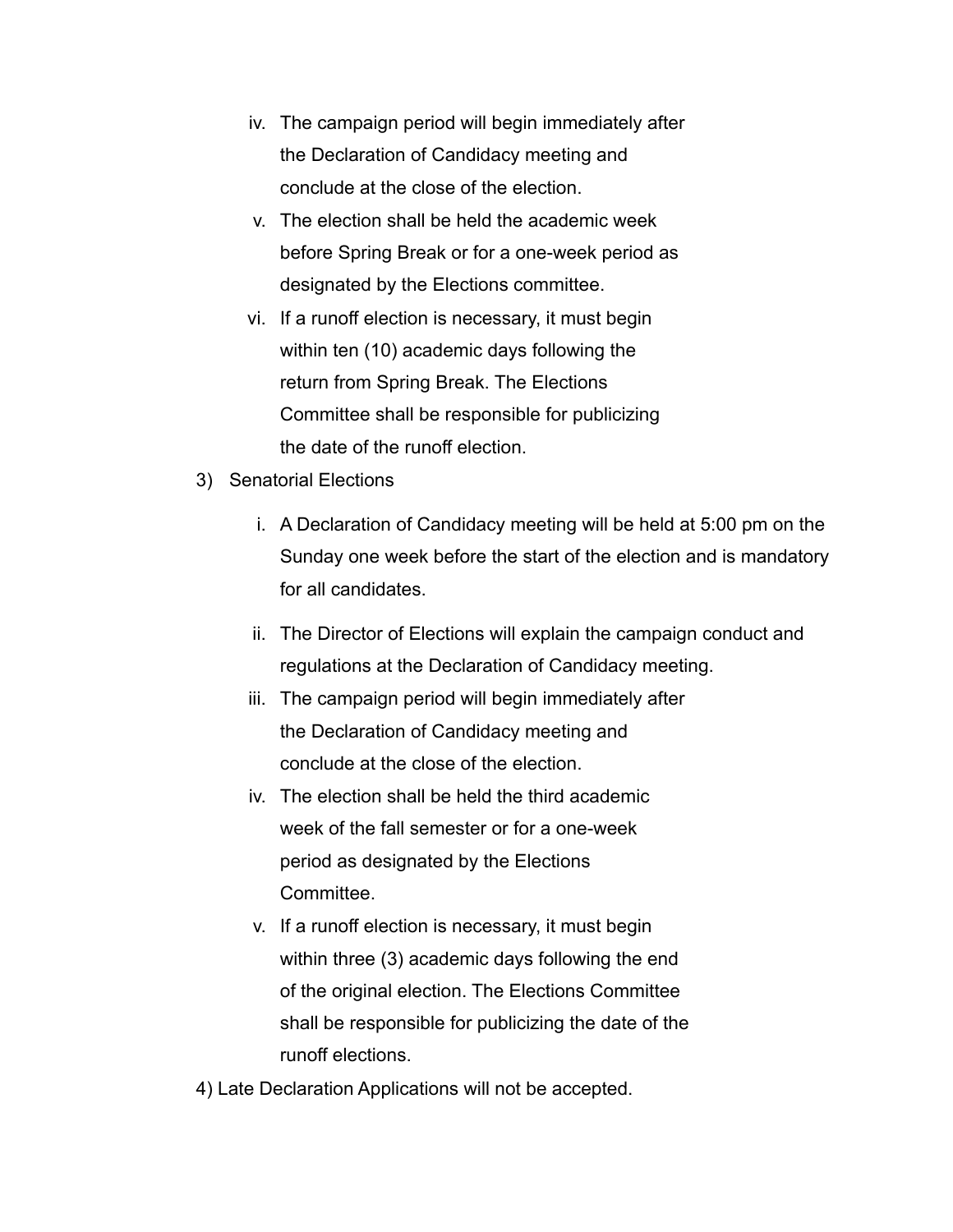- iv. The campaign period will begin immediately after the Declaration of Candidacy meeting and conclude at the close of the election.
- v. The election shall be held the academic week before Spring Break or for a one-week period as designated by the Elections committee.
- vi. If a runoff election is necessary, it must begin within ten (10) academic days following the return from Spring Break. The Elections Committee shall be responsible for publicizing the date of the runoff election.
- 3) Senatorial Elections
	- i. A Declaration of Candidacy meeting will be held at 5:00 pm on the Sunday one week before the start of the election and is mandatory for all candidates.
	- ii. The Director of Elections will explain the campaign conduct and regulations at the Declaration of Candidacy meeting.
	- iii. The campaign period will begin immediately after the Declaration of Candidacy meeting and conclude at the close of the election.
	- iv. The election shall be held the third academic week of the fall semester or for a one-week period as designated by the Elections Committee.
	- v. If a runoff election is necessary, it must begin within three (3) academic days following the end of the original election. The Elections Committee shall be responsible for publicizing the date of the runoff elections.
- 4) Late Declaration Applications will not be accepted.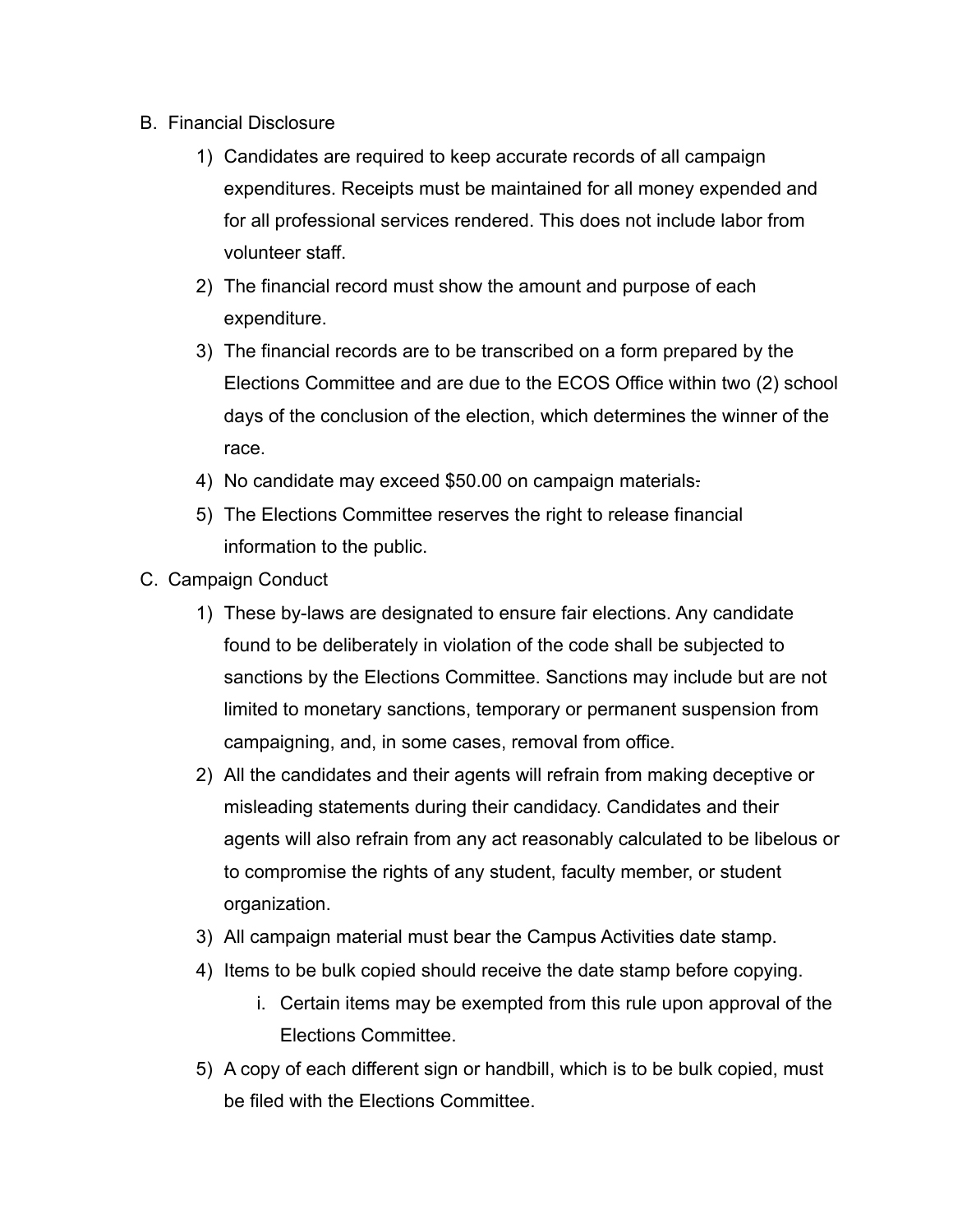- B. Financial Disclosure
	- 1) Candidates are required to keep accurate records of all campaign expenditures. Receipts must be maintained for all money expended and for all professional services rendered. This does not include labor from volunteer staff.
	- 2) The financial record must show the amount and purpose of each expenditure.
	- 3) The financial records are to be transcribed on a form prepared by the Elections Committee and are due to the ECOS Office within two (2) school days of the conclusion of the election, which determines the winner of the race.
	- 4) No candidate may exceed \$50.00 on campaign materials.
	- 5) The Elections Committee reserves the right to release financial information to the public.
- C. Campaign Conduct
	- 1) These by-laws are designated to ensure fair elections. Any candidate found to be deliberately in violation of the code shall be subjected to sanctions by the Elections Committee. Sanctions may include but are not limited to monetary sanctions, temporary or permanent suspension from campaigning, and, in some cases, removal from office.
	- 2) All the candidates and their agents will refrain from making deceptive or misleading statements during their candidacy. Candidates and their agents will also refrain from any act reasonably calculated to be libelous or to compromise the rights of any student, faculty member, or student organization.
	- 3) All campaign material must bear the Campus Activities date stamp.
	- 4) Items to be bulk copied should receive the date stamp before copying.
		- i. Certain items may be exempted from this rule upon approval of the Elections Committee.
	- 5) A copy of each different sign or handbill, which is to be bulk copied, must be filed with the Elections Committee.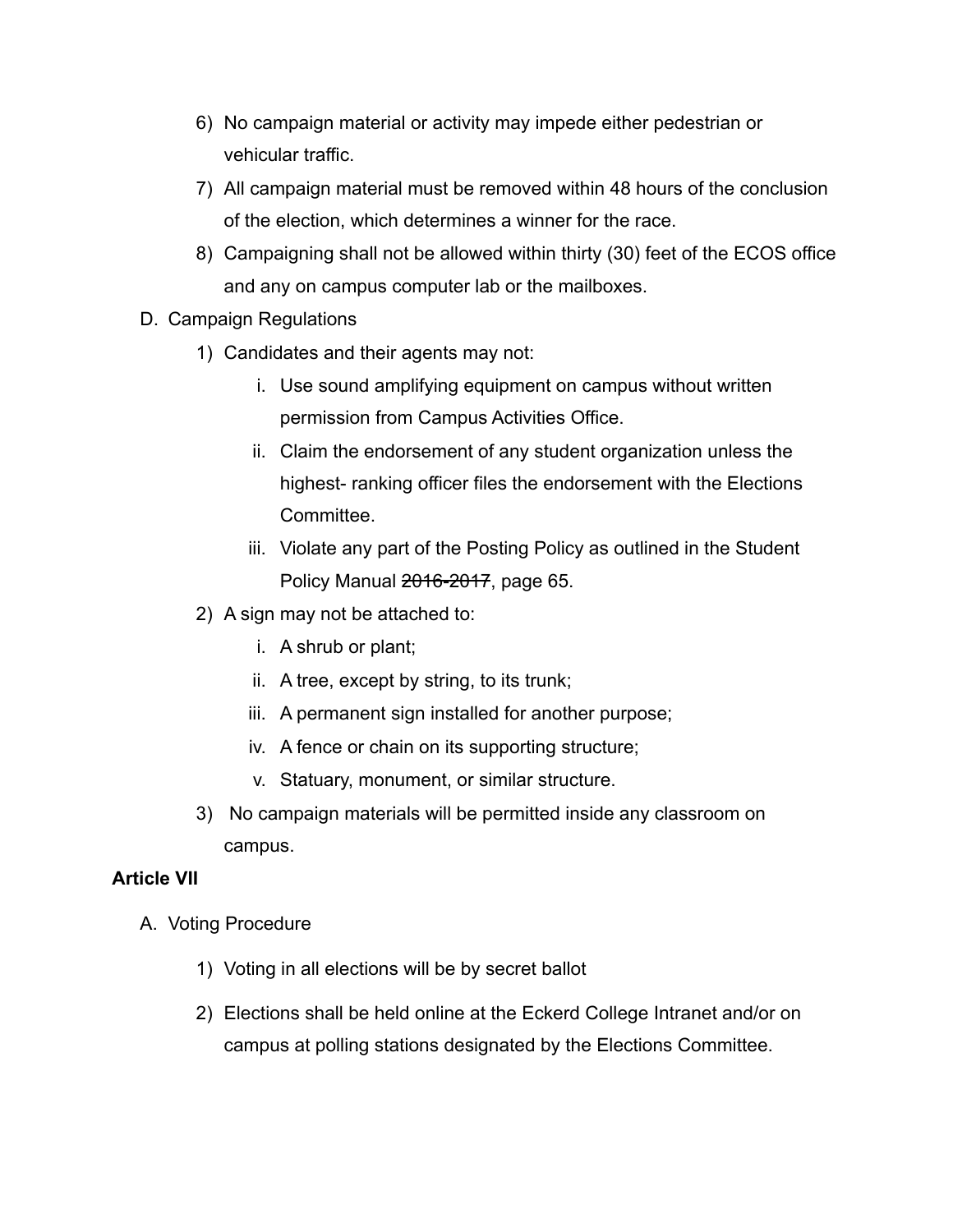- 6) No campaign material or activity may impede either pedestrian or vehicular traffic.
- 7) All campaign material must be removed within 48 hours of the conclusion of the election, which determines a winner for the race.
- 8) Campaigning shall not be allowed within thirty (30) feet of the ECOS office and any on campus computer lab or the mailboxes.
- D. Campaign Regulations
	- 1) Candidates and their agents may not:
		- i. Use sound amplifying equipment on campus without written permission from Campus Activities Office.
		- ii. Claim the endorsement of any student organization unless the highest- ranking officer files the endorsement with the Elections Committee.
		- iii. Violate any part of the Posting Policy as outlined in the Student Policy Manual 2016-2017, page 65.
	- 2) A sign may not be attached to:
		- i. A shrub or plant;
		- ii. A tree, except by string, to its trunk;
		- iii. A permanent sign installed for another purpose;
		- iv. A fence or chain on its supporting structure;
		- v. Statuary, monument, or similar structure.
	- 3) No campaign materials will be permitted inside any classroom on campus.

#### **Article VII**

- A. Voting Procedure
	- 1) Voting in all elections will be by secret ballot
	- 2) Elections shall be held online at the Eckerd College Intranet and/or on campus at polling stations designated by the Elections Committee.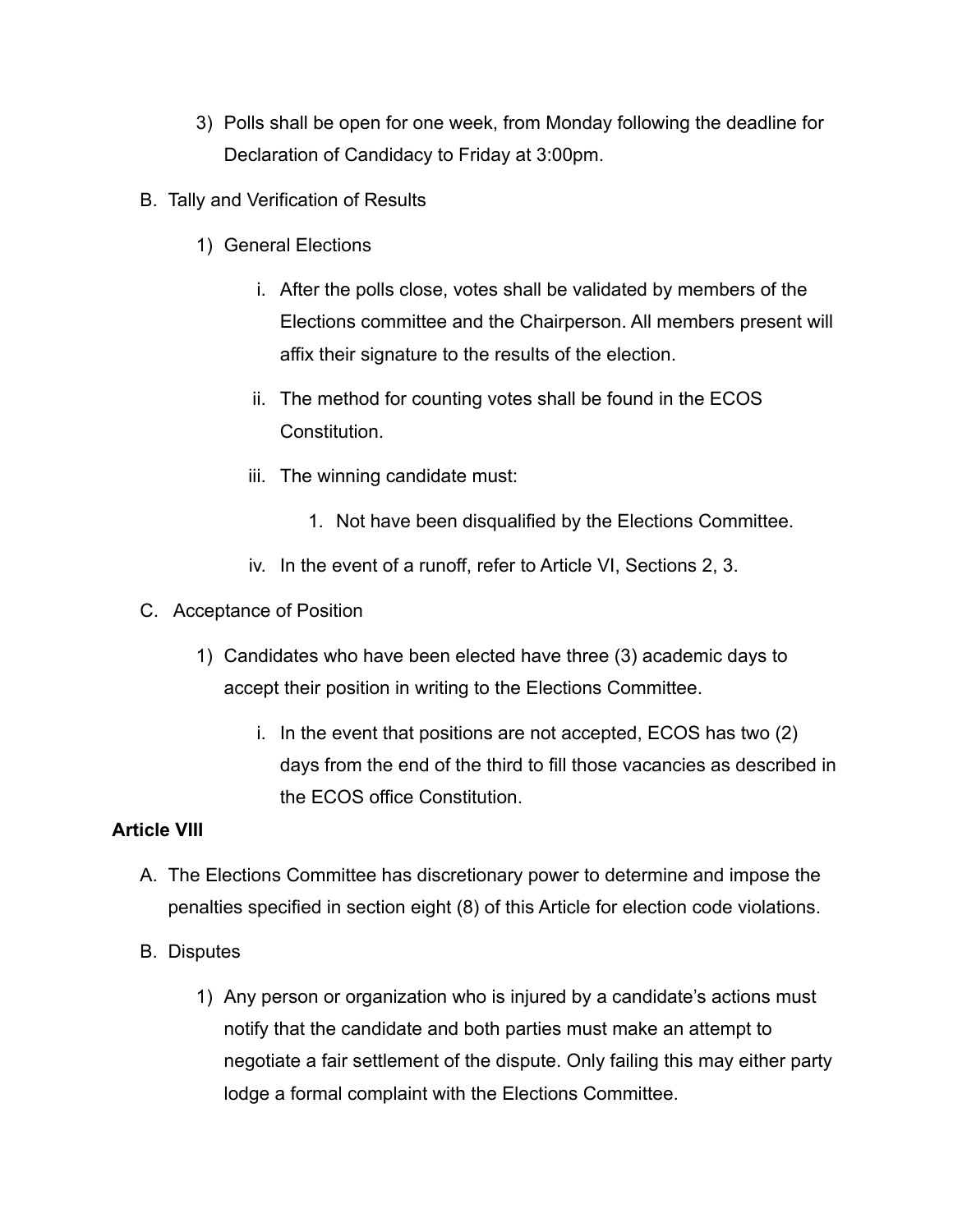- 3) Polls shall be open for one week, from Monday following the deadline for Declaration of Candidacy to Friday at 3:00pm.
- B. Tally and Verification of Results
	- 1) General Elections
		- i. After the polls close, votes shall be validated by members of the Elections committee and the Chairperson. All members present will affix their signature to the results of the election.
		- ii. The method for counting votes shall be found in the ECOS **Constitution**
		- iii. The winning candidate must:
			- 1. Not have been disqualified by the Elections Committee.
		- iv. In the event of a runoff, refer to Article VI, Sections 2, 3.
- C. Acceptance of Position
	- 1) Candidates who have been elected have three (3) academic days to accept their position in writing to the Elections Committee.
		- i. In the event that positions are not accepted, ECOS has two (2) days from the end of the third to fill those vacancies as described in the ECOS office Constitution.

# **Article VIII**

- A. The Elections Committee has discretionary power to determine and impose the penalties specified in section eight (8) of this Article for election code violations.
- B. Disputes
	- 1) Any person or organization who is injured by a candidate's actions must notify that the candidate and both parties must make an attempt to negotiate a fair settlement of the dispute. Only failing this may either party lodge a formal complaint with the Elections Committee.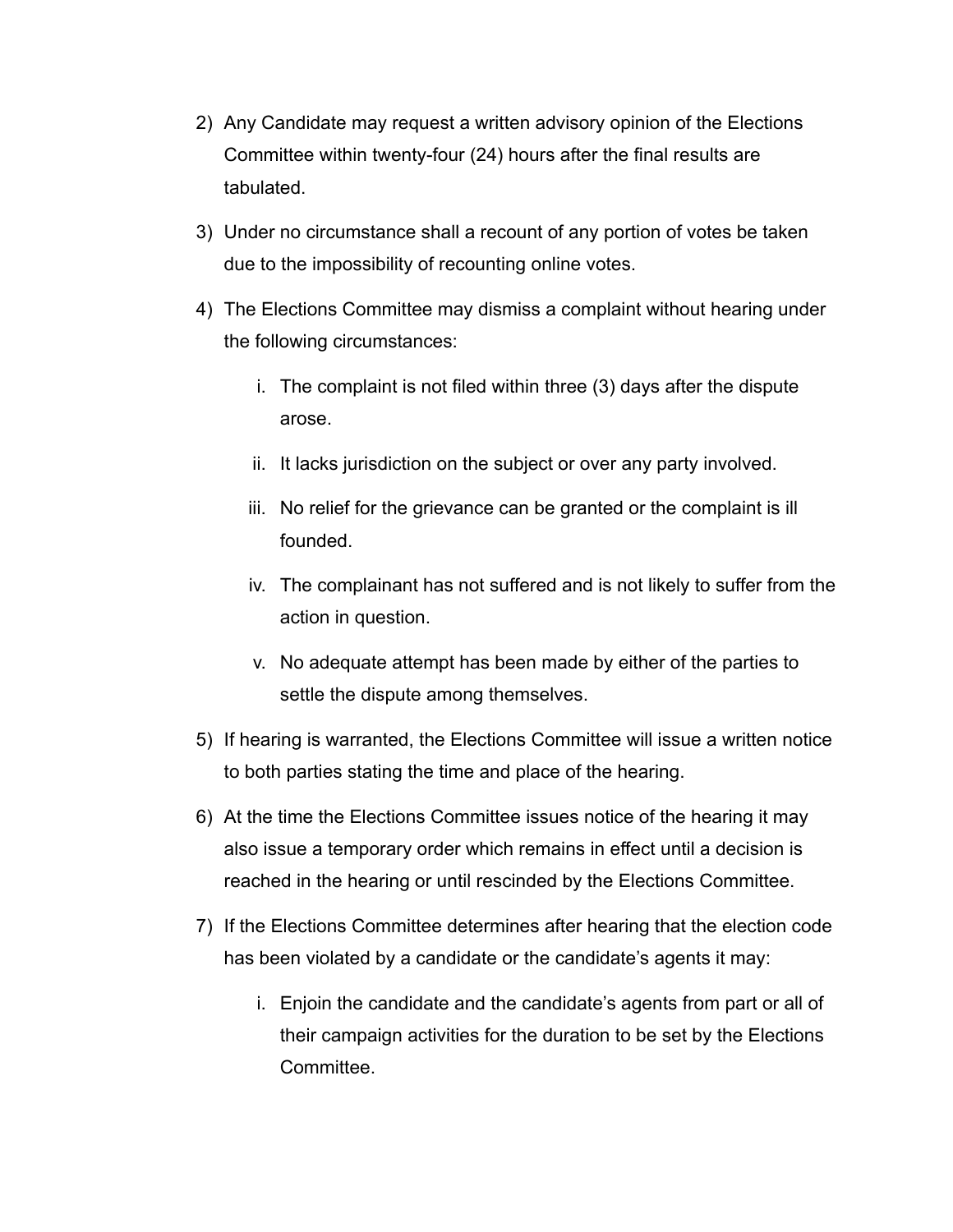- 2) Any Candidate may request a written advisory opinion of the Elections Committee within twenty-four (24) hours after the final results are tabulated.
- 3) Under no circumstance shall a recount of any portion of votes be taken due to the impossibility of recounting online votes.
- 4) The Elections Committee may dismiss a complaint without hearing under the following circumstances:
	- i. The complaint is not filed within three (3) days after the dispute arose.
	- ii. It lacks jurisdiction on the subject or over any party involved.
	- iii. No relief for the grievance can be granted or the complaint is ill founded.
	- iv. The complainant has not suffered and is not likely to suffer from the action in question.
	- v. No adequate attempt has been made by either of the parties to settle the dispute among themselves.
- 5) If hearing is warranted, the Elections Committee will issue a written notice to both parties stating the time and place of the hearing.
- 6) At the time the Elections Committee issues notice of the hearing it may also issue a temporary order which remains in effect until a decision is reached in the hearing or until rescinded by the Elections Committee.
- 7) If the Elections Committee determines after hearing that the election code has been violated by a candidate or the candidate's agents it may:
	- i. Enjoin the candidate and the candidate's agents from part or all of their campaign activities for the duration to be set by the Elections **Committee.**